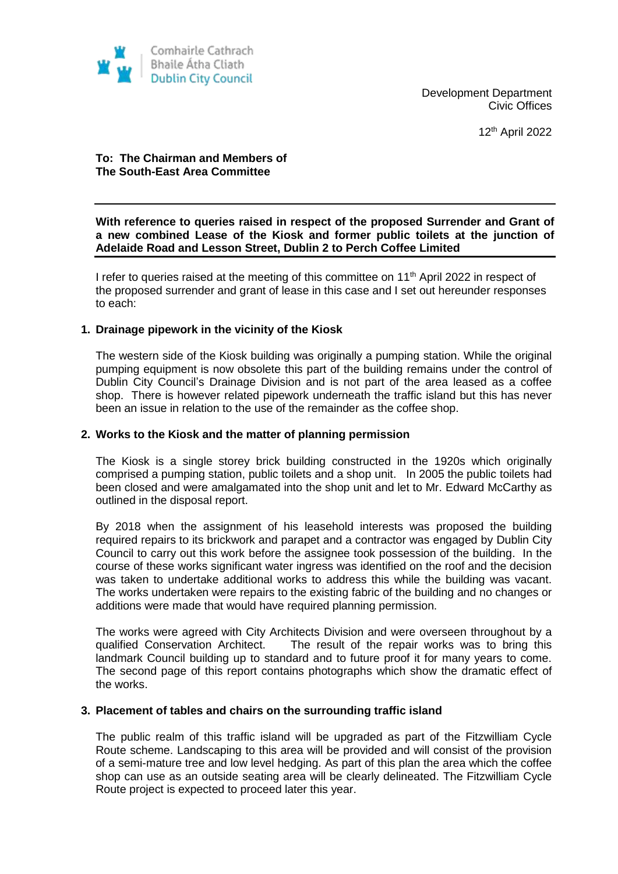

Development Department Civic Offices

12th April 2022

# **To: The Chairman and Members of The South-East Area Committee**

**With reference to queries raised in respect of the proposed Surrender and Grant of a new combined Lease of the Kiosk and former public toilets at the junction of Adelaide Road and Lesson Street, Dublin 2 to Perch Coffee Limited** 

I refer to queries raised at the meeting of this committee on 11<sup>th</sup> April 2022 in respect of the proposed surrender and grant of lease in this case and I set out hereunder responses to each:

### **1. Drainage pipework in the vicinity of the Kiosk**

The western side of the Kiosk building was originally a pumping station. While the original pumping equipment is now obsolete this part of the building remains under the control of Dublin City Council's Drainage Division and is not part of the area leased as a coffee shop. There is however related pipework underneath the traffic island but this has never been an issue in relation to the use of the remainder as the coffee shop.

### **2. Works to the Kiosk and the matter of planning permission**

The Kiosk is a single storey brick building constructed in the 1920s which originally comprised a pumping station, public toilets and a shop unit. In 2005 the public toilets had been closed and were amalgamated into the shop unit and let to Mr. Edward McCarthy as outlined in the disposal report.

By 2018 when the assignment of his leasehold interests was proposed the building required repairs to its brickwork and parapet and a contractor was engaged by Dublin City Council to carry out this work before the assignee took possession of the building. In the course of these works significant water ingress was identified on the roof and the decision was taken to undertake additional works to address this while the building was vacant. The works undertaken were repairs to the existing fabric of the building and no changes or additions were made that would have required planning permission.

The works were agreed with City Architects Division and were overseen throughout by a qualified Conservation Architect. The result of the repair works was to bring this landmark Council building up to standard and to future proof it for many years to come. The second page of this report contains photographs which show the dramatic effect of the works.

#### **3. Placement of tables and chairs on the surrounding traffic island**

The public realm of this traffic island will be upgraded as part of the Fitzwilliam Cycle Route scheme. Landscaping to this area will be provided and will consist of the provision of a semi-mature tree and low level hedging. As part of this plan the area which the coffee shop can use as an outside seating area will be clearly delineated. The Fitzwilliam Cycle Route project is expected to proceed later this year.